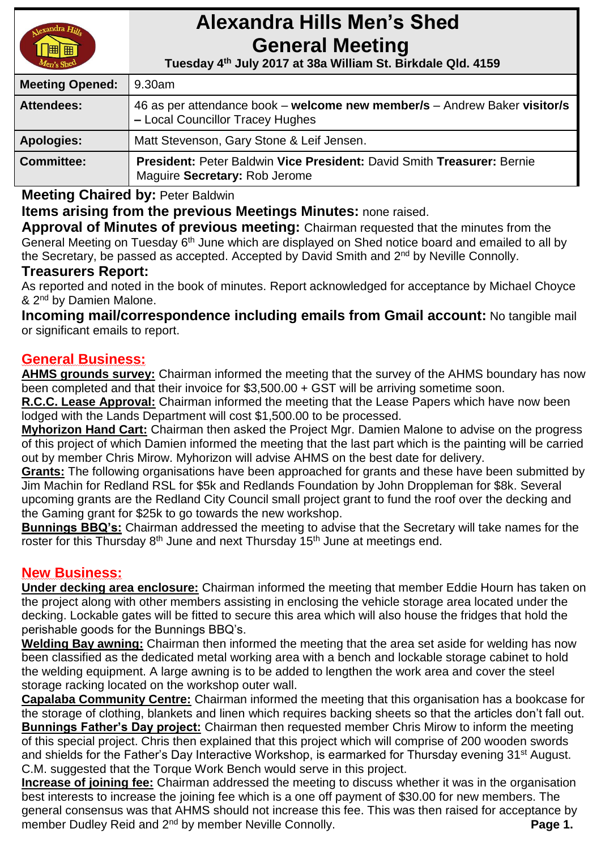

# **Alexandra Hills Men's Shed General Meeting**

 **Tuesday 4 th July 2017 at 38a William St. Birkdale Qld. 4159** 

| <b>Meeting Opened:</b> | 9.30am                                                                                                        |  |
|------------------------|---------------------------------------------------------------------------------------------------------------|--|
| <b>Attendees:</b>      | 46 as per attendance book – welcome new member/s – Andrew Baker visitor/s<br>- Local Councillor Tracey Hughes |  |
| <b>Apologies:</b>      | Matt Stevenson, Gary Stone & Leif Jensen.                                                                     |  |
| <b>Committee:</b>      | President: Peter Baldwin Vice President: David Smith Treasurer: Bernie<br>Maguire Secretary: Rob Jerome       |  |

**Meeting Chaired by:** Peter Baldwin

**Items arising from the previous Meetings Minutes:** none raised.

**Approval of Minutes of previous meeting:** Chairman requested that the minutes from the General Meeting on Tuesday 6<sup>th</sup> June which are displayed on Shed notice board and emailed to all by the Secretary, be passed as accepted. Accepted by David Smith and 2nd by Neville Connolly.

# **Treasurers Report:**

As reported and noted in the book of minutes. Report acknowledged for acceptance by Michael Choyce & 2<sup>nd</sup> by Damien Malone.

**Incoming mail/correspondence including emails from Gmail account:** No tangible mail or significant emails to report.

# **General Business:**

**AHMS grounds survey:** Chairman informed the meeting that the survey of the AHMS boundary has now been completed and that their invoice for \$3,500.00 + GST will be arriving sometime soon.

**R.C.C. Lease Approval:** Chairman informed the meeting that the Lease Papers which have now been lodged with the Lands Department will cost \$1,500.00 to be processed.

**Myhorizon Hand Cart:** Chairman then asked the Project Mgr. Damien Malone to advise on the progress of this project of which Damien informed the meeting that the last part which is the painting will be carried out by member Chris Mirow. Myhorizon will advise AHMS on the best date for delivery.

**Grants:** The following organisations have been approached for grants and these have been submitted by Jim Machin for Redland RSL for \$5k and Redlands Foundation by John Droppleman for \$8k. Several upcoming grants are the Redland City Council small project grant to fund the roof over the decking and the Gaming grant for \$25k to go towards the new workshop.

**Bunnings BBQ's:** Chairman addressed the meeting to advise that the Secretary will take names for the roster for this Thursday 8<sup>th</sup> June and next Thursday 15<sup>th</sup> June at meetings end.

# **New Business:**

**Under decking area enclosure:** Chairman informed the meeting that member Eddie Hourn has taken on the project along with other members assisting in enclosing the vehicle storage area located under the decking. Lockable gates will be fitted to secure this area which will also house the fridges that hold the perishable goods for the Bunnings BBQ's.

**Welding Bay awning:** Chairman then informed the meeting that the area set aside for welding has now been classified as the dedicated metal working area with a bench and lockable storage cabinet to hold the welding equipment. A large awning is to be added to lengthen the work area and cover the steel storage racking located on the workshop outer wall.

**Capalaba Community Centre:** Chairman informed the meeting that this organisation has a bookcase for the storage of clothing, blankets and linen which requires backing sheets so that the articles don't fall out. **Bunnings Father's Day project:** Chairman then requested member Chris Mirow to inform the meeting of this special project. Chris then explained that this project which will comprise of 200 wooden swords and shields for the Father's Day Interactive Workshop, is earmarked for Thursday evening 31<sup>st</sup> August. C.M. suggested that the Torque Work Bench would serve in this project.

**Increase of joining fee:** Chairman addressed the meeting to discuss whether it was in the organisation best interests to increase the joining fee which is a one off payment of \$30.00 for new members. The general consensus was that AHMS should not increase this fee. This was then raised for acceptance by member Dudley Reid and 2<sup>nd</sup> by member Neville Connolly. **Page 1.** Page 1.